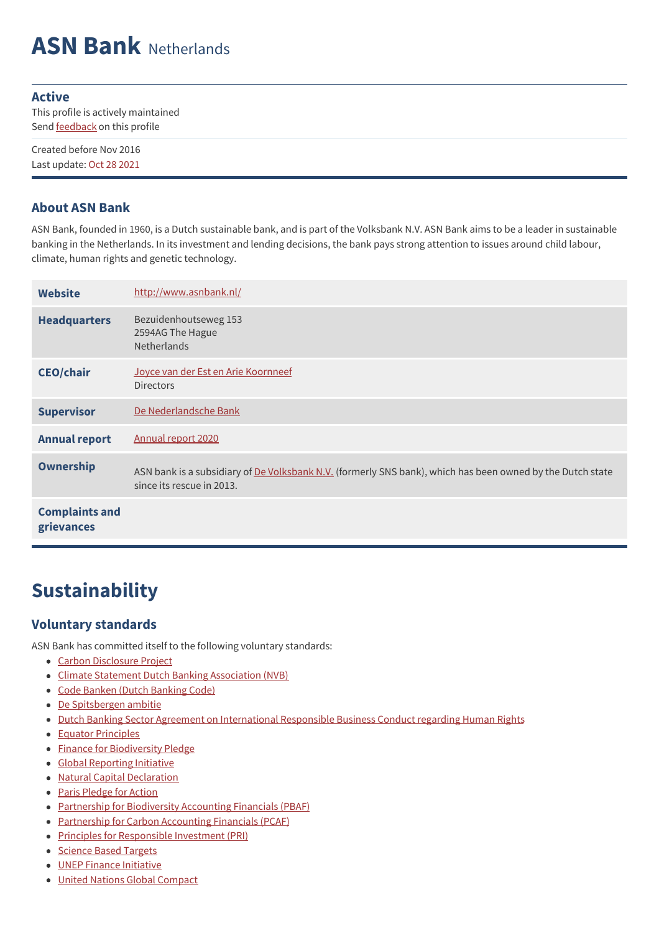# **ASN Bank** Netherlands

#### **Active**

This profile is actively maintained Send **[feedback](https://www.banktrack.org/feedback/bankprofile/asn_bank)** on this profile

Created before Nov 2016 Last update: Oct 28 2021

#### **About ASN Bank**

ASN Bank, founded in 1960, is a Dutch sustainable bank, and is part of the Volksbank N.V. ASN Bank aims to be a leader in sustainable banking in the Netherlands. In its investment and lending decisions, the bank pays strong attention to issues around child labour, climate, human rights and genetic technology.

| <b>Website</b>                      | http://www.asnbank.nl/                                                                                                                  |
|-------------------------------------|-----------------------------------------------------------------------------------------------------------------------------------------|
| <b>Headquarters</b>                 | Bezuidenhoutseweg 153<br>2594AG The Hague<br>Netherlands                                                                                |
| <b>CEO/chair</b>                    | Joyce van der Est en Arie Koornneef<br><b>Directors</b>                                                                                 |
| <b>Supervisor</b>                   | De Nederlandsche Bank                                                                                                                   |
| <b>Annual report</b>                | Annual report 2020                                                                                                                      |
| Ownership                           | ASN bank is a subsidiary of De Volksbank N.V. (formerly SNS bank), which has been owned by the Dutch state<br>since its rescue in 2013. |
| <b>Complaints and</b><br>grievances |                                                                                                                                         |

## **Sustainability**

#### **Voluntary standards**

ASN Bank has committed itself to the following voluntary standards:

- Carbon [Disclosure](https://www.cdp.net/en-US/Pages/HomePage.aspx) Project
- Climate Statement Dutch Banking [Association](https://www.nvb.nl/publicaties-standpunten/publicaties/4420/klimaatstatement-climate-statement-nederlandse-banken.html) (NVB)
- Code Banken (Dutch [Banking](https://www.commissiecodebanken.nl/index.php?p=527987) Code)
- De [Spitsbergen](https://www.rabobank.com/en/images/spitsbergen-expeditie-2018-lr-02.pdf) ambitie
- Dutch Banking Sector Agreement on [International](https://www.imvoconvenanten.nl/banking?sc_lang=en) Responsible Business Conduct regarding Human Rights
- Equator [Principles](http://www.equator-principles.com)
- Finance for [Biodiversity](https://www.financeforbiodiversity.org/) Pledge
- Global [Reporting](http://www.globalreporting.org) Initiative
- Natural Capital [Declaration](http://www.naturalcapitaldeclaration.org/)
- Paris [Pledge](http://www.parispledgeforaction.org/) for Action
- Partnership for [Biodiversity](https://pbafglobal.com/) Accounting Financials (PBAF)
- [Partnership](https://carbonaccountingfinancials.com/about) for Carbon Accounting Financials (PCAF)
- Principles for [Responsible](http://www.unpri.org/) Investment (PRI)
- [Science](https://sciencebasedtargets.org/) Based Targets
- UNEP Finance [Initiative](http://www.unepfi.org/)
- United Nations Global [Compact](http://www.unglobalcompact.org/)